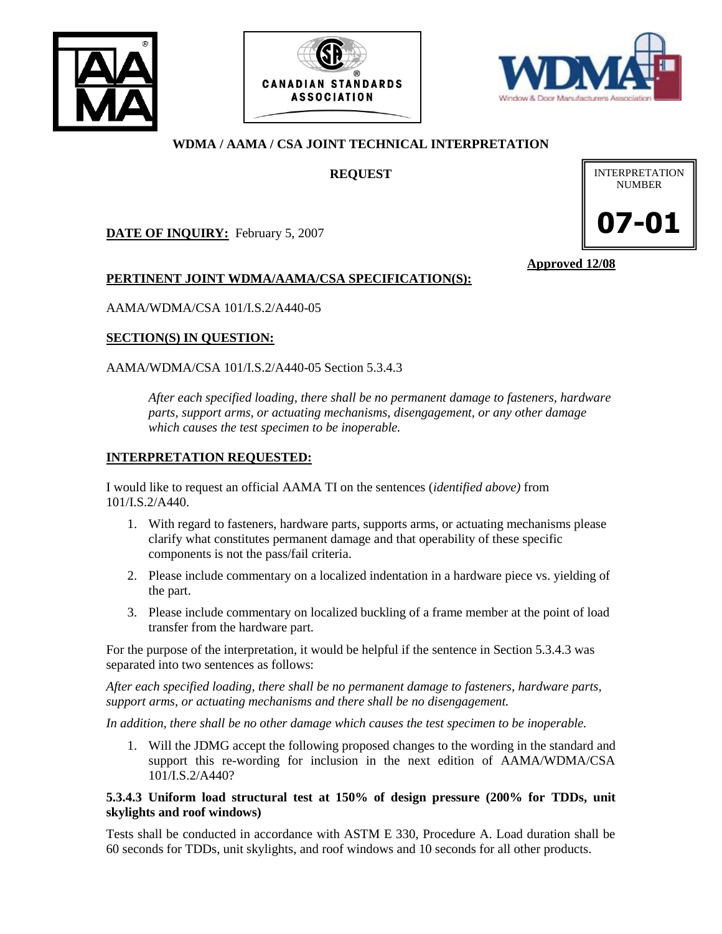





# **WDMA / AAMA / CSA JOINT TECHNICAL INTERPRETATION**

**REQUEST**

**DATE OF INQUIRY:** February 5, 2007



**Approved 12/08**

## **PERTINENT JOINT WDMA/AAMA/CSA SPECIFICATION(S):**

AAMA/WDMA/CSA 101/I.S.2/A440-05

### **SECTION(S) IN QUESTION:**

AAMA/WDMA/CSA 101/I.S.2/A440-05 Section 5.3.4.3

*After each specified loading, there shall be no permanent damage to fasteners, hardware parts, support arms, or actuating mechanisms, disengagement, or any other damage which causes the test specimen to be inoperable.*

## **INTERPRETATION REQUESTED:**

I would like to request an official AAMA TI on the sentences (*identified above)* from 101/I.S.2/A440.

- 1. With regard to fasteners, hardware parts, supports arms, or actuating mechanisms please clarify what constitutes permanent damage and that operability of these specific components is not the pass/fail criteria.
- 2. Please include commentary on a localized indentation in a hardware piece vs. yielding of the part.
- 3. Please include commentary on localized buckling of a frame member at the point of load transfer from the hardware part.

For the purpose of the interpretation, it would be helpful if the sentence in Section 5.3.4.3 was separated into two sentences as follows:

*After each specified loading, there shall be no permanent damage to fasteners, hardware parts, support arms, or actuating mechanisms and there shall be no disengagement.* 

*In addition, there shall be no other damage which causes the test specimen to be inoperable.* 

1. Will the JDMG accept the following proposed changes to the wording in the standard and support this re-wording for inclusion in the next edition of AAMA/WDMA/CSA 101/I.S.2/A440?

### **5.3.4.3 Uniform load structural test at 150% of design pressure (200% for TDDs, unit skylights and roof windows)**

Tests shall be conducted in accordance with ASTM E 330, Procedure A. Load duration shall be 60 seconds for TDDs, unit skylights, and roof windows and 10 seconds for all other products.